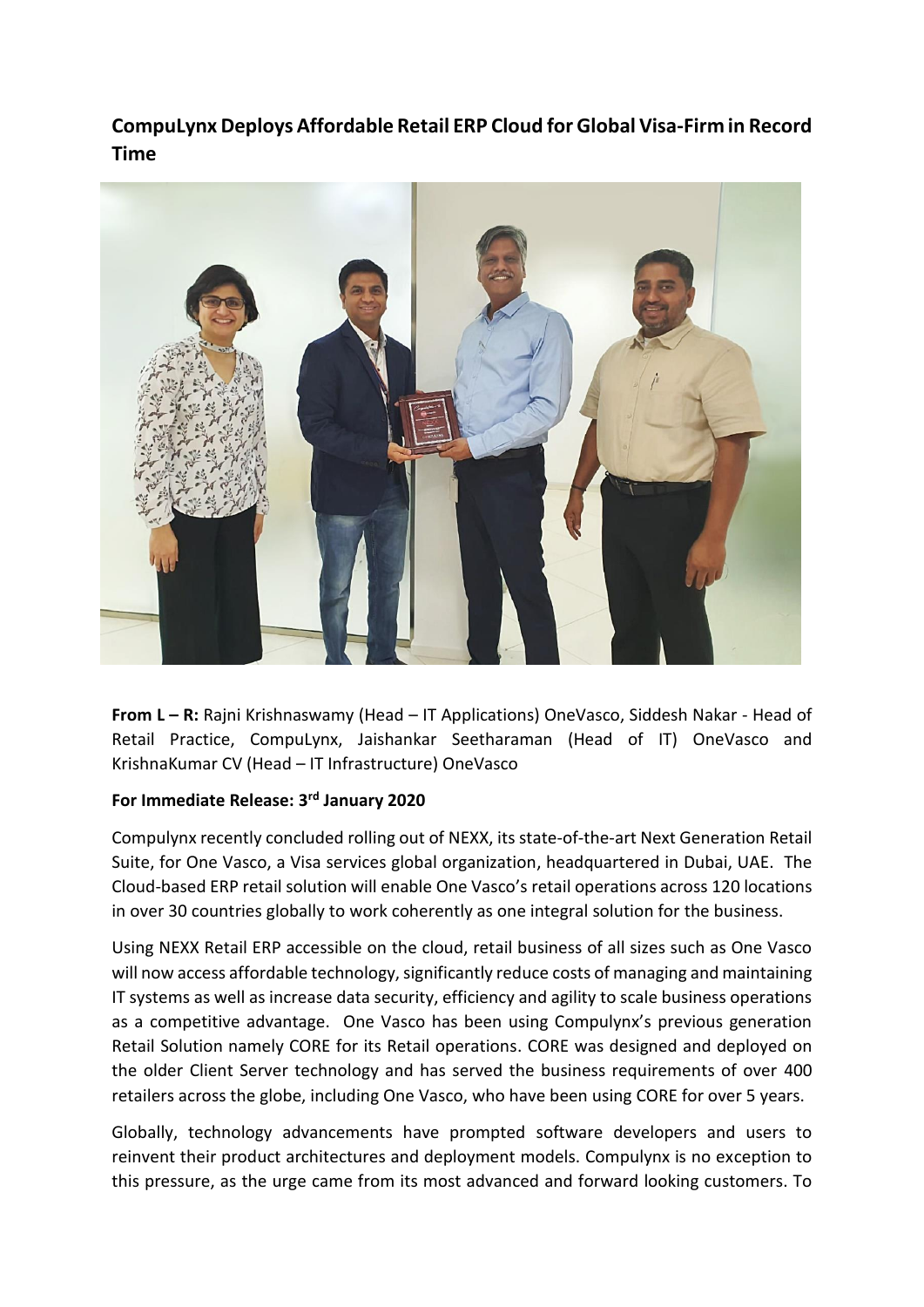## **CompuLynx Deploys Affordable Retail ERP Cloud for Global Visa-Firm in Record Time**



**From L – R:** Rajni Krishnaswamy (Head – IT Applications) OneVasco, Siddesh Nakar - Head of Retail Practice, CompuLynx, Jaishankar Seetharaman (Head of IT) OneVasco and KrishnaKumar CV (Head – IT Infrastructure) OneVasco

## **For Immediate Release: 3rd January 2020**

Compulynx recently concluded rolling out of NEXX, its state-of-the-art Next Generation Retail Suite, for One Vasco, a Visa services global organization, headquartered in Dubai, UAE. The Cloud-based ERP retail solution will enable One Vasco's retail operations across 120 locations in over 30 countries globally to work coherently as one integral solution for the business.

Using NEXX Retail ERP accessible on the cloud, retail business of all sizes such as One Vasco will now access affordable technology, significantly reduce costs of managing and maintaining IT systems as well as increase data security, efficiency and agility to scale business operations as a competitive advantage. One Vasco has been using Compulynx's previous generation Retail Solution namely CORE for its Retail operations. CORE was designed and deployed on the older Client Server technology and has served the business requirements of over 400 retailers across the globe, including One Vasco, who have been using CORE for over 5 years.

Globally, technology advancements have prompted software developers and users to reinvent their product architectures and deployment models. Compulynx is no exception to this pressure, as the urge came from its most advanced and forward looking customers. To